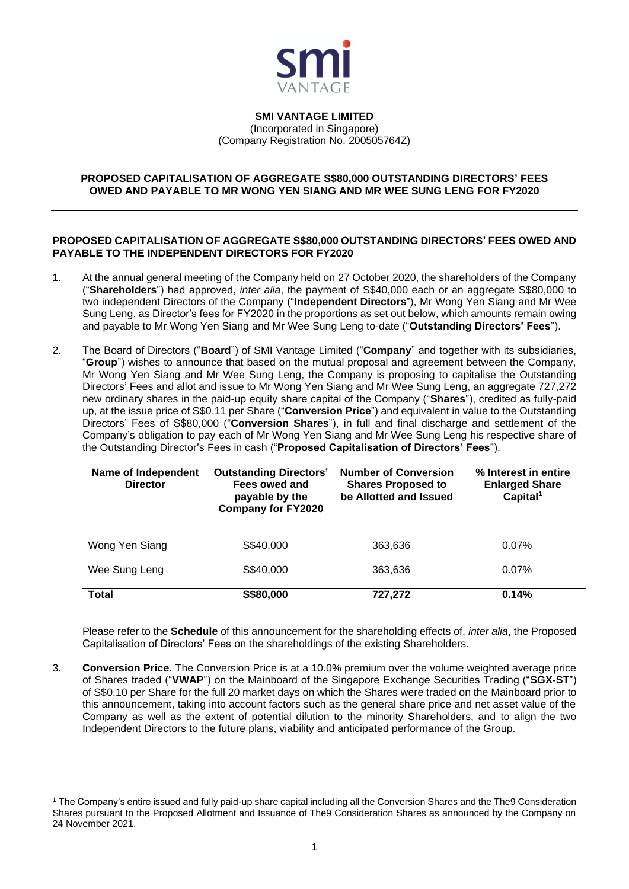

**SMI VANTAGE LIMITED** (Incorporated in Singapore) (Company Registration No. 200505764Z)

#### **PROPOSED CAPITALISATION OF AGGREGATE S\$80,000 OUTSTANDING DIRECTORS' FEES OWED AND PAYABLE TO MR WONG YEN SIANG AND MR WEE SUNG LENG FOR FY2020**

### **PROPOSED CAPITALISATION OF AGGREGATE S\$80,000 OUTSTANDING DIRECTORS' FEES OWED AND PAYABLE TO THE INDEPENDENT DIRECTORS FOR FY2020**

- 1. At the annual general meeting of the Company held on 27 October 2020, the shareholders of the Company ("**Shareholders**") had approved, *inter alia*, the payment of S\$40,000 each or an aggregate S\$80,000 to two independent Directors of the Company ("**Independent Directors**"), Mr Wong Yen Siang and Mr Wee Sung Leng, as Director's fees for FY2020 in the proportions as set out below, which amounts remain owing and payable to Mr Wong Yen Siang and Mr Wee Sung Leng to-date ("**Outstanding Directors' Fees**").
- 2. The Board of Directors ("**Board**") of SMI Vantage Limited ("**Company**" and together with its subsidiaries, "**Group**") wishes to announce that based on the mutual proposal and agreement between the Company, Mr Wong Yen Siang and Mr Wee Sung Leng, the Company is proposing to capitalise the Outstanding Directors' Fees and allot and issue to Mr Wong Yen Siang and Mr Wee Sung Leng, an aggregate 727,272 new ordinary shares in the paid-up equity share capital of the Company ("**Shares**"), credited as fully-paid up, at the issue price of S\$0.11 per Share ("**Conversion Price**") and equivalent in value to the Outstanding Directors' Fees of S\$80,000 ("**Conversion Shares**"), in full and final discharge and settlement of the Company's obligation to pay each of Mr Wong Yen Siang and Mr Wee Sung Leng his respective share of the Outstanding Director's Fees in cash ("**Proposed Capitalisation of Directors' Fees**").

| Name of Independent<br><b>Director</b> | <b>Outstanding Directors'</b><br>Fees owed and<br>payable by the<br><b>Company for FY2020</b> | <b>Number of Conversion</b><br><b>Shares Proposed to</b><br>be Allotted and Issued | % Interest in entire<br><b>Enlarged Share</b><br>Capital <sup>1</sup> |
|----------------------------------------|-----------------------------------------------------------------------------------------------|------------------------------------------------------------------------------------|-----------------------------------------------------------------------|
| Wong Yen Siang                         | S\$40,000                                                                                     | 363.636                                                                            | $0.07\%$                                                              |
| Wee Sung Leng                          | S\$40,000                                                                                     | 363.636                                                                            | 0.07%                                                                 |
| <b>Total</b>                           | S\$80,000                                                                                     | 727,272                                                                            | 0.14%                                                                 |

Please refer to the **Schedule** of this announcement for the shareholding effects of, *inter alia*, the Proposed Capitalisation of Directors' Fees on the shareholdings of the existing Shareholders.

3. **Conversion Price**. The Conversion Price is at a 10.0% premium over the volume weighted average price of Shares traded ("**VWAP**") on the Mainboard of the Singapore Exchange Securities Trading ("**SGX-ST**") of S\$0.10 per Share for the full 20 market days on which the Shares were traded on the Mainboard prior to this announcement, taking into account factors such as the general share price and net asset value of the Company as well as the extent of potential dilution to the minority Shareholders, and to align the two Independent Directors to the future plans, viability and anticipated performance of the Group.

<sup>1</sup> The Company's entire issued and fully paid-up share capital including all the Conversion Shares and the The9 Consideration Shares pursuant to the Proposed Allotment and Issuance of The9 Consideration Shares as announced by the Company on 24 November 2021.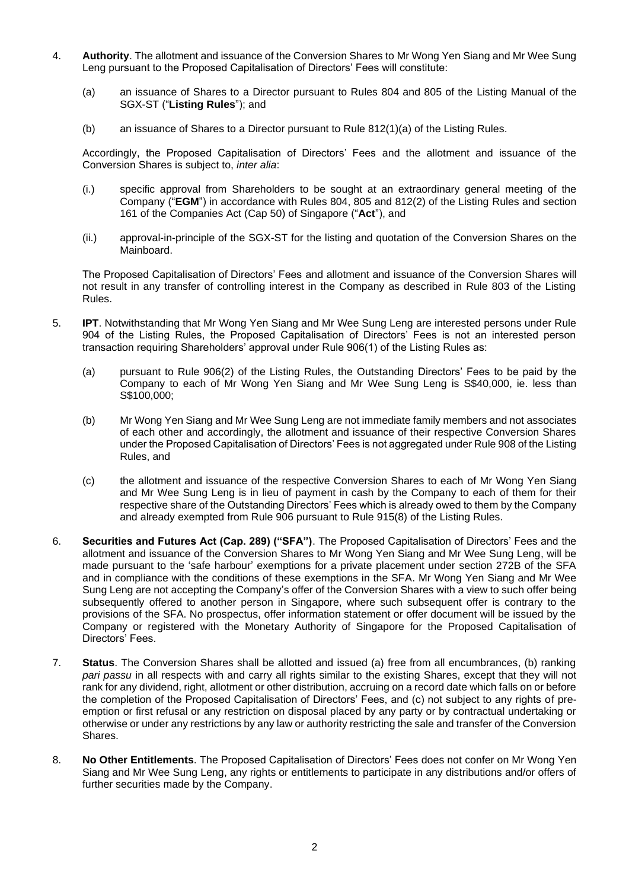- 4. **Authority**. The allotment and issuance of the Conversion Shares to Mr Wong Yen Siang and Mr Wee Sung Leng pursuant to the Proposed Capitalisation of Directors' Fees will constitute:
	- (a) an issuance of Shares to a Director pursuant to Rules 804 and 805 of the Listing Manual of the SGX-ST ("**Listing Rules**"); and
	- (b) an issuance of Shares to a Director pursuant to Rule 812(1)(a) of the Listing Rules.

Accordingly, the Proposed Capitalisation of Directors' Fees and the allotment and issuance of the Conversion Shares is subject to, *inter alia*:

- (i.) specific approval from Shareholders to be sought at an extraordinary general meeting of the Company ("**EGM**") in accordance with Rules 804, 805 and 812(2) of the Listing Rules and section 161 of the Companies Act (Cap 50) of Singapore ("**Act**"), and
- (ii.) approval-in-principle of the SGX-ST for the listing and quotation of the Conversion Shares on the Mainboard.

The Proposed Capitalisation of Directors' Fees and allotment and issuance of the Conversion Shares will not result in any transfer of controlling interest in the Company as described in Rule 803 of the Listing Rules.

- 5. **IPT**. Notwithstanding that Mr Wong Yen Siang and Mr Wee Sung Leng are interested persons under Rule 904 of the Listing Rules, the Proposed Capitalisation of Directors' Fees is not an interested person transaction requiring Shareholders' approval under Rule 906(1) of the Listing Rules as:
	- (a) pursuant to Rule 906(2) of the Listing Rules, the Outstanding Directors' Fees to be paid by the Company to each of Mr Wong Yen Siang and Mr Wee Sung Leng is S\$40,000, ie. less than S\$100,000;
	- (b) Mr Wong Yen Siang and Mr Wee Sung Leng are not immediate family members and not associates of each other and accordingly, the allotment and issuance of their respective Conversion Shares under the Proposed Capitalisation of Directors' Fees is not aggregated under Rule 908 of the Listing Rules, and
	- (c) the allotment and issuance of the respective Conversion Shares to each of Mr Wong Yen Siang and Mr Wee Sung Leng is in lieu of payment in cash by the Company to each of them for their respective share of the Outstanding Directors' Fees which is already owed to them by the Company and already exempted from Rule 906 pursuant to Rule 915(8) of the Listing Rules.
- 6. **Securities and Futures Act (Cap. 289) ("SFA")**. The Proposed Capitalisation of Directors' Fees and the allotment and issuance of the Conversion Shares to Mr Wong Yen Siang and Mr Wee Sung Leng, will be made pursuant to the 'safe harbour' exemptions for a private placement under section 272B of the SFA and in compliance with the conditions of these exemptions in the SFA. Mr Wong Yen Siang and Mr Wee Sung Leng are not accepting the Company's offer of the Conversion Shares with a view to such offer being subsequently offered to another person in Singapore, where such subsequent offer is contrary to the provisions of the SFA. No prospectus, offer information statement or offer document will be issued by the Company or registered with the Monetary Authority of Singapore for the Proposed Capitalisation of Directors' Fees.
- 7. **Status**. The Conversion Shares shall be allotted and issued (a) free from all encumbrances, (b) ranking *pari passu* in all respects with and carry all rights similar to the existing Shares, except that they will not rank for any dividend, right, allotment or other distribution, accruing on a record date which falls on or before the completion of the Proposed Capitalisation of Directors' Fees, and (c) not subject to any rights of preemption or first refusal or any restriction on disposal placed by any party or by contractual undertaking or otherwise or under any restrictions by any law or authority restricting the sale and transfer of the Conversion Shares.
- 8. **No Other Entitlements**. The Proposed Capitalisation of Directors' Fees does not confer on Mr Wong Yen Siang and Mr Wee Sung Leng, any rights or entitlements to participate in any distributions and/or offers of further securities made by the Company.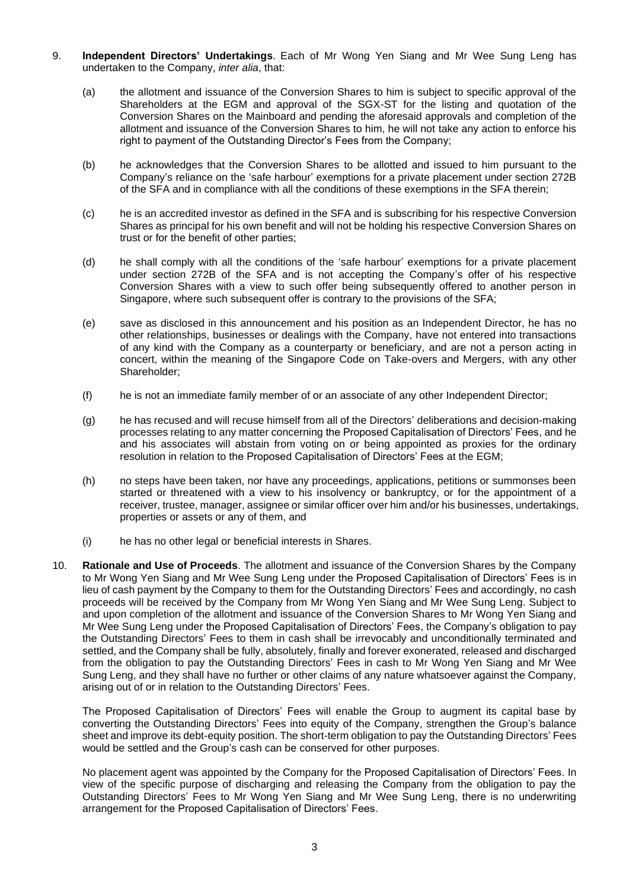- 9. **Independent Directors' Undertakings**. Each of Mr Wong Yen Siang and Mr Wee Sung Leng has undertaken to the Company, *inter alia*, that:
	- (a) the allotment and issuance of the Conversion Shares to him is subject to specific approval of the Shareholders at the EGM and approval of the SGX-ST for the listing and quotation of the Conversion Shares on the Mainboard and pending the aforesaid approvals and completion of the allotment and issuance of the Conversion Shares to him, he will not take any action to enforce his right to payment of the Outstanding Director's Fees from the Company;
	- (b) he acknowledges that the Conversion Shares to be allotted and issued to him pursuant to the Company's reliance on the 'safe harbour' exemptions for a private placement under section 272B of the SFA and in compliance with all the conditions of these exemptions in the SFA therein;
	- (c) he is an accredited investor as defined in the SFA and is subscribing for his respective Conversion Shares as principal for his own benefit and will not be holding his respective Conversion Shares on trust or for the benefit of other parties;
	- (d) he shall comply with all the conditions of the 'safe harbour' exemptions for a private placement under section 272B of the SFA and is not accepting the Company's offer of his respective Conversion Shares with a view to such offer being subsequently offered to another person in Singapore, where such subsequent offer is contrary to the provisions of the SFA;
	- (e) save as disclosed in this announcement and his position as an Independent Director, he has no other relationships, businesses or dealings with the Company, have not entered into transactions of any kind with the Company as a counterparty or beneficiary, and are not a person acting in concert, within the meaning of the Singapore Code on Take-overs and Mergers, with any other Shareholder;
	- (f) he is not an immediate family member of or an associate of any other Independent Director;
	- (g) he has recused and will recuse himself from all of the Directors' deliberations and decision-making processes relating to any matter concerning the Proposed Capitalisation of Directors' Fees, and he and his associates will abstain from voting on or being appointed as proxies for the ordinary resolution in relation to the Proposed Capitalisation of Directors' Fees at the EGM;
	- (h) no steps have been taken, nor have any proceedings, applications, petitions or summonses been started or threatened with a view to his insolvency or bankruptcy, or for the appointment of a receiver, trustee, manager, assignee or similar officer over him and/or his businesses, undertakings, properties or assets or any of them, and
	- (i) he has no other legal or beneficial interests in Shares.
- 10. **Rationale and Use of Proceeds**. The allotment and issuance of the Conversion Shares by the Company to Mr Wong Yen Siang and Mr Wee Sung Leng under the Proposed Capitalisation of Directors' Fees is in lieu of cash payment by the Company to them for the Outstanding Directors' Fees and accordingly, no cash proceeds will be received by the Company from Mr Wong Yen Siang and Mr Wee Sung Leng. Subject to and upon completion of the allotment and issuance of the Conversion Shares to Mr Wong Yen Siang and Mr Wee Sung Leng under the Proposed Capitalisation of Directors' Fees, the Company's obligation to pay the Outstanding Directors' Fees to them in cash shall be irrevocably and unconditionally terminated and settled, and the Company shall be fully, absolutely, finally and forever exonerated, released and discharged from the obligation to pay the Outstanding Directors' Fees in cash to Mr Wong Yen Siang and Mr Wee Sung Leng, and they shall have no further or other claims of any nature whatsoever against the Company, arising out of or in relation to the Outstanding Directors' Fees.

The Proposed Capitalisation of Directors' Fees will enable the Group to augment its capital base by converting the Outstanding Directors' Fees into equity of the Company, strengthen the Group's balance sheet and improve its debt-equity position. The short-term obligation to pay the Outstanding Directors' Fees would be settled and the Group's cash can be conserved for other purposes.

No placement agent was appointed by the Company for the Proposed Capitalisation of Directors' Fees. In view of the specific purpose of discharging and releasing the Company from the obligation to pay the Outstanding Directors' Fees to Mr Wong Yen Siang and Mr Wee Sung Leng, there is no underwriting arrangement for the Proposed Capitalisation of Directors' Fees.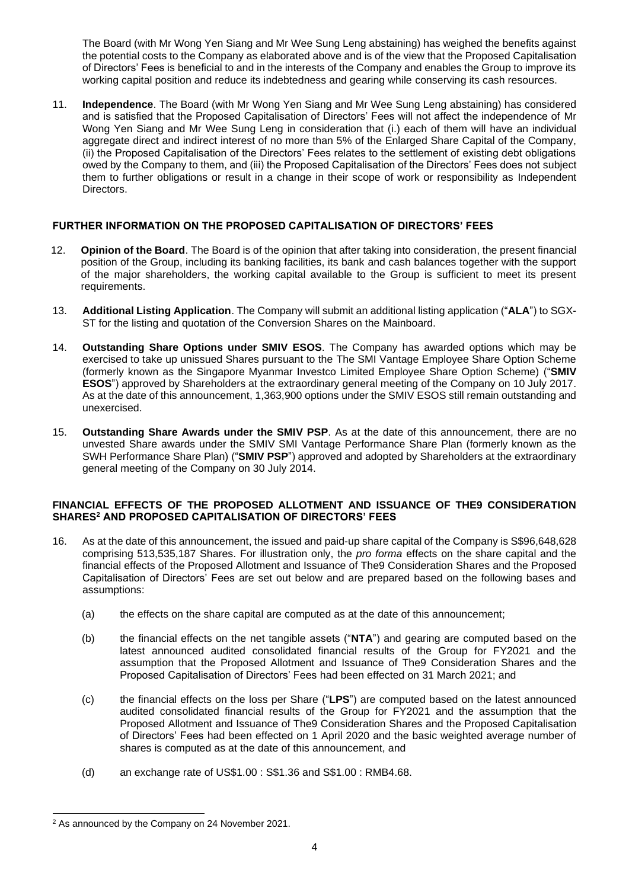The Board (with Mr Wong Yen Siang and Mr Wee Sung Leng abstaining) has weighed the benefits against the potential costs to the Company as elaborated above and is of the view that the Proposed Capitalisation of Directors' Fees is beneficial to and in the interests of the Company and enables the Group to improve its working capital position and reduce its indebtedness and gearing while conserving its cash resources.

11. **Independence**. The Board (with Mr Wong Yen Siang and Mr Wee Sung Leng abstaining) has considered and is satisfied that the Proposed Capitalisation of Directors' Fees will not affect the independence of Mr Wong Yen Siang and Mr Wee Sung Leng in consideration that (i.) each of them will have an individual aggregate direct and indirect interest of no more than 5% of the Enlarged Share Capital of the Company, (ii) the Proposed Capitalisation of the Directors' Fees relates to the settlement of existing debt obligations owed by the Company to them, and (iii) the Proposed Capitalisation of the Directors' Fees does not subject them to further obligations or result in a change in their scope of work or responsibility as Independent Directors.

## **FURTHER INFORMATION ON THE PROPOSED CAPITALISATION OF DIRECTORS' FEES**

- 12. **Opinion of the Board**. The Board is of the opinion that after taking into consideration, the present financial position of the Group, including its banking facilities, its bank and cash balances together with the support of the major shareholders, the working capital available to the Group is sufficient to meet its present requirements.
- 13. **Additional Listing Application**. The Company will submit an additional listing application ("**ALA**") to SGX-ST for the listing and quotation of the Conversion Shares on the Mainboard.
- 14. **Outstanding Share Options under SMIV ESOS**. The Company has awarded options which may be exercised to take up unissued Shares pursuant to the The SMI Vantage Employee Share Option Scheme (formerly known as the Singapore Myanmar Investco Limited Employee Share Option Scheme) ("**SMIV ESOS**") approved by Shareholders at the extraordinary general meeting of the Company on 10 July 2017. As at the date of this announcement, 1,363,900 options under the SMIV ESOS still remain outstanding and unexercised.
- 15. **Outstanding Share Awards under the SMIV PSP**. As at the date of this announcement, there are no unvested Share awards under the SMIV SMI Vantage Performance Share Plan (formerly known as the SWH Performance Share Plan) ("**SMIV PSP**") approved and adopted by Shareholders at the extraordinary general meeting of the Company on 30 July 2014.

### **FINANCIAL EFFECTS OF THE PROPOSED ALLOTMENT AND ISSUANCE OF THE9 CONSIDERATION SHARES<sup>2</sup> AND PROPOSED CAPITALISATION OF DIRECTORS' FEES**

- 16. As at the date of this announcement, the issued and paid-up share capital of the Company is S\$96,648,628 comprising 513,535,187 Shares. For illustration only, the *pro forma* effects on the share capital and the financial effects of the Proposed Allotment and Issuance of The9 Consideration Shares and the Proposed Capitalisation of Directors' Fees are set out below and are prepared based on the following bases and assumptions:
	- (a) the effects on the share capital are computed as at the date of this announcement;
	- (b) the financial effects on the net tangible assets ("**NTA**") and gearing are computed based on the latest announced audited consolidated financial results of the Group for FY2021 and the assumption that the Proposed Allotment and Issuance of The9 Consideration Shares and the Proposed Capitalisation of Directors' Fees had been effected on 31 March 2021; and
	- (c) the financial effects on the loss per Share ("**LPS**") are computed based on the latest announced audited consolidated financial results of the Group for FY2021 and the assumption that the Proposed Allotment and Issuance of The9 Consideration Shares and the Proposed Capitalisation of Directors' Fees had been effected on 1 April 2020 and the basic weighted average number of shares is computed as at the date of this announcement, and
	- (d) an exchange rate of US\$1.00 : S\$1.36 and S\$1.00 : RMB4.68.

<sup>2</sup> As announced by the Company on 24 November 2021.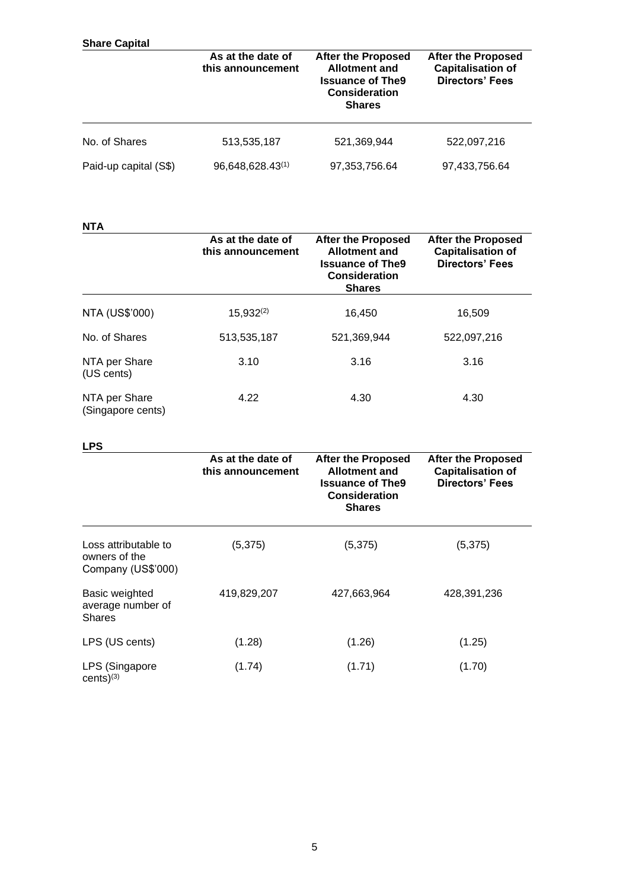| <b>Share Capital</b>  |                                        |                                                                                                                       |                                                                                 |  |
|-----------------------|----------------------------------------|-----------------------------------------------------------------------------------------------------------------------|---------------------------------------------------------------------------------|--|
|                       | As at the date of<br>this announcement | <b>After the Proposed</b><br><b>Allotment and</b><br><b>Issuance of The9</b><br><b>Consideration</b><br><b>Shares</b> | <b>After the Proposed</b><br><b>Capitalisation of</b><br><b>Directors' Fees</b> |  |
| No. of Shares         | 513,535,187                            | 521,369,944                                                                                                           | 522,097,216                                                                     |  |
| Paid-up capital (S\$) | 96,648,628.43(1)                       | 97, 353, 756.64                                                                                                       | 97,433,756.64                                                                   |  |

**NTA**

|                                    | As at the date of<br>this announcement | <b>After the Proposed</b><br><b>Allotment and</b><br><b>Issuance of The9</b><br><b>Consideration</b><br><b>Shares</b> | <b>After the Proposed</b><br><b>Capitalisation of</b><br><b>Directors' Fees</b> |  |  |
|------------------------------------|----------------------------------------|-----------------------------------------------------------------------------------------------------------------------|---------------------------------------------------------------------------------|--|--|
| <b>NTA (US\$'000)</b>              | $15,932^{(2)}$                         | 16,450                                                                                                                | 16,509                                                                          |  |  |
| No. of Shares                      | 513,535,187                            | 521,369,944                                                                                                           | 522,097,216                                                                     |  |  |
| NTA per Share<br>(US cents)        | 3.10                                   | 3.16                                                                                                                  | 3.16                                                                            |  |  |
| NTA per Share<br>(Singapore cents) | 4.22                                   | 4.30                                                                                                                  | 4.30                                                                            |  |  |

# **LPS**

|                                                             | As at the date of<br>this announcement | <b>After the Proposed</b><br><b>Allotment and</b><br><b>Issuance of The9</b><br><b>Consideration</b><br><b>Shares</b> | <b>After the Proposed</b><br><b>Capitalisation of</b><br><b>Directors' Fees</b><br>(5, 375) |  |  |
|-------------------------------------------------------------|----------------------------------------|-----------------------------------------------------------------------------------------------------------------------|---------------------------------------------------------------------------------------------|--|--|
| Loss attributable to<br>owners of the<br>Company (US\$'000) | (5,375)                                | (5, 375)                                                                                                              |                                                                                             |  |  |
| Basic weighted<br>average number of<br><b>Shares</b>        | 419,829,207                            | 427,663,964                                                                                                           | 428,391,236                                                                                 |  |  |
| LPS (US cents)                                              | (1.28)                                 | (1.26)                                                                                                                | (1.25)                                                                                      |  |  |
| LPS (Singapore<br>cents $)^{(3)}$                           | (1.74)                                 | (1.71)                                                                                                                | (1.70)                                                                                      |  |  |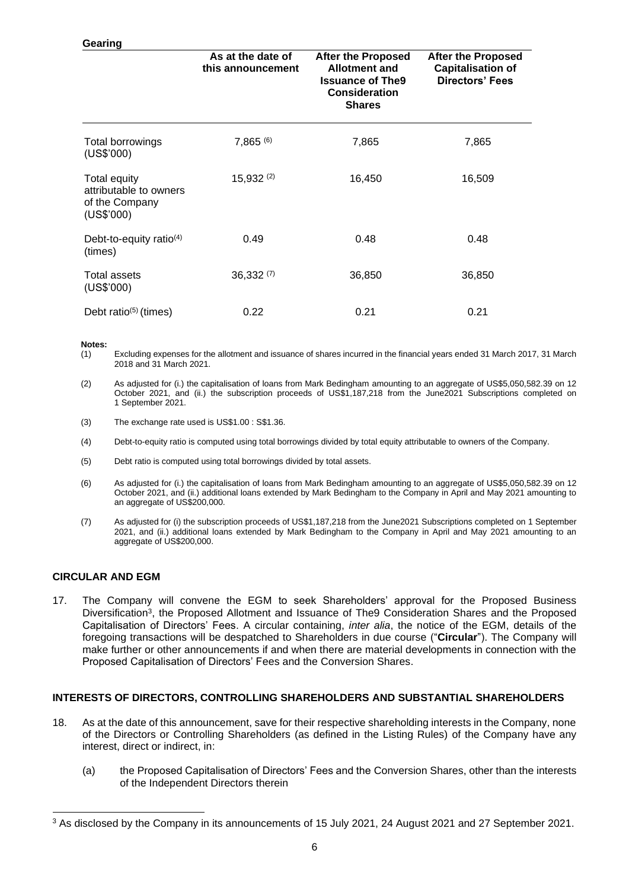#### **Gearing**

|                                                                        | As at the date of<br>this announcement | <b>After the Proposed</b><br><b>Allotment and</b><br><b>Issuance of The9</b><br><b>Consideration</b><br><b>Shares</b> | <b>After the Proposed</b><br><b>Capitalisation of</b><br><b>Directors' Fees</b> |  |  |
|------------------------------------------------------------------------|----------------------------------------|-----------------------------------------------------------------------------------------------------------------------|---------------------------------------------------------------------------------|--|--|
| Total borrowings<br>(US\$'000)                                         | $7,865^{(6)}$                          | 7,865                                                                                                                 | 7,865                                                                           |  |  |
| Total equity<br>attributable to owners<br>of the Company<br>(US\$'000) | 15,932(2)                              | 16,450                                                                                                                | 16,509                                                                          |  |  |
| Debt-to-equity ratio $(4)$<br>(times)                                  | 0.49                                   | 0.48                                                                                                                  | 0.48                                                                            |  |  |
| Total assets<br>(US\$'000)                                             | 36,332(7)                              | 36,850                                                                                                                | 36,850                                                                          |  |  |
| Debt ratio $(5)$ (times)                                               | 0.22                                   | 0.21                                                                                                                  | 0.21                                                                            |  |  |

#### **Notes:**

- (1) Excluding expenses for the allotment and issuance of shares incurred in the financial years ended 31 March 2017, 31 March 2018 and 31 March 2021.
- (2) As adjusted for (i.) the capitalisation of loans from Mark Bedingham amounting to an aggregate of US\$5,050,582.39 on 12 October 2021, and (ii.) the subscription proceeds of US\$1,187,218 from the June2021 Subscriptions completed on 1 September 2021.
- (3) The exchange rate used is US\$1.00 : S\$1.36.
- (4) Debt-to-equity ratio is computed using total borrowings divided by total equity attributable to owners of the Company.
- (5) Debt ratio is computed using total borrowings divided by total assets.
- (6) As adjusted for (i.) the capitalisation of loans from Mark Bedingham amounting to an aggregate of US\$5,050,582.39 on 12 October 2021, and (ii.) additional loans extended by Mark Bedingham to the Company in April and May 2021 amounting to an aggregate of US\$200,000.
- (7) As adjusted for (i) the subscription proceeds of US\$1,187,218 from the June2021 Subscriptions completed on 1 September 2021, and (ii.) additional loans extended by Mark Bedingham to the Company in April and May 2021 amounting to an aggregate of US\$200,000.

### **CIRCULAR AND EGM**

17. The Company will convene the EGM to seek Shareholders' approval for the Proposed Business Diversification<sup>3</sup>, the Proposed Allotment and Issuance of The9 Consideration Shares and the Proposed Capitalisation of Directors' Fees. A circular containing, *inter alia*, the notice of the EGM, details of the foregoing transactions will be despatched to Shareholders in due course ("**Circular**"). The Company will make further or other announcements if and when there are material developments in connection with the Proposed Capitalisation of Directors' Fees and the Conversion Shares.

#### **INTERESTS OF DIRECTORS, CONTROLLING SHAREHOLDERS AND SUBSTANTIAL SHAREHOLDERS**

- 18. As at the date of this announcement, save for their respective shareholding interests in the Company, none of the Directors or Controlling Shareholders (as defined in the Listing Rules) of the Company have any interest, direct or indirect, in:
	- (a) the Proposed Capitalisation of Directors' Fees and the Conversion Shares, other than the interests of the Independent Directors therein

<sup>3</sup> As disclosed by the Company in its announcements of 15 July 2021, 24 August 2021 and 27 September 2021.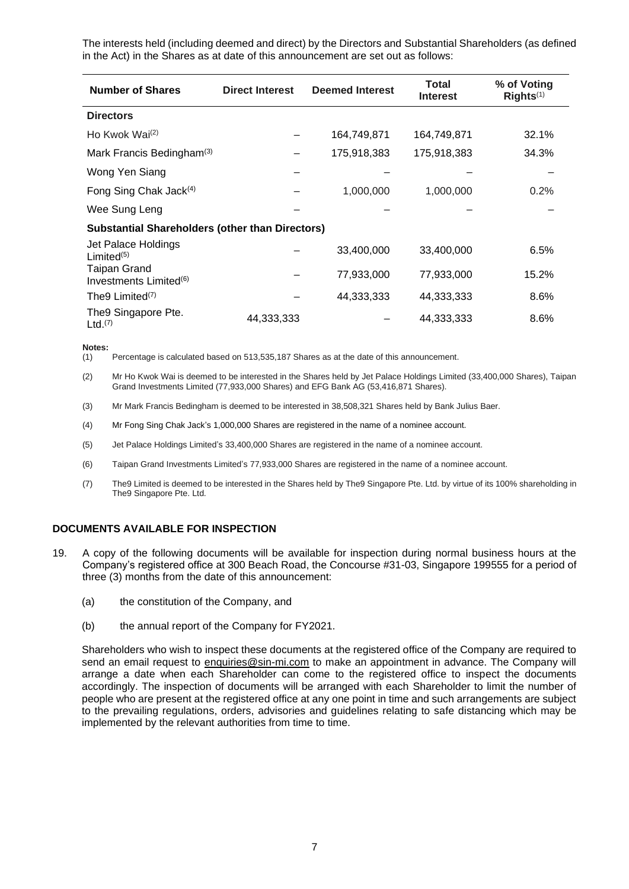The interests held (including deemed and direct) by the Directors and Substantial Shareholders (as defined in the Act) in the Shares as at date of this announcement are set out as follows:

| <b>Number of Shares</b>                            | <b>Direct Interest</b>                                 | <b>Deemed Interest</b> | Total<br><b>Interest</b> | % of Voting<br>Rights <sup>(1)</sup> |  |  |  |  |
|----------------------------------------------------|--------------------------------------------------------|------------------------|--------------------------|--------------------------------------|--|--|--|--|
| <b>Directors</b>                                   |                                                        |                        |                          |                                      |  |  |  |  |
| Ho Kwok Wai <sup>(2)</sup>                         |                                                        | 164,749,871            | 164,749,871              | 32.1%                                |  |  |  |  |
| Mark Francis Bedingham <sup>(3)</sup>              |                                                        | 175,918,383            | 175,918,383              | 34.3%                                |  |  |  |  |
| Wong Yen Siang                                     |                                                        |                        |                          |                                      |  |  |  |  |
| Fong Sing Chak Jack <sup>(4)</sup>                 |                                                        | 1,000,000              | 1,000,000                | 0.2%                                 |  |  |  |  |
| Wee Sung Leng                                      |                                                        |                        |                          |                                      |  |  |  |  |
|                                                    | <b>Substantial Shareholders (other than Directors)</b> |                        |                          |                                      |  |  |  |  |
| Jet Palace Holdings<br>Limited <sup>(5)</sup>      |                                                        | 33,400,000             | 33,400,000               | 6.5%                                 |  |  |  |  |
| Taipan Grand<br>Investments Limited <sup>(6)</sup> |                                                        | 77,933,000             | 77,933,000               | 15.2%                                |  |  |  |  |
| The9 Limited <sup>(7)</sup>                        |                                                        | 44,333,333             | 44,333,333               | 8.6%                                 |  |  |  |  |
| The9 Singapore Pte.<br>$Ltd.$ <sup>(7)</sup>       | 44,333,333                                             |                        | 44,333,333               | 8.6%                                 |  |  |  |  |

**Notes:**

- (1) Percentage is calculated based on 513,535,187 Shares as at the date of this announcement.
- (2) Mr Ho Kwok Wai is deemed to be interested in the Shares held by Jet Palace Holdings Limited (33,400,000 Shares), Taipan Grand Investments Limited (77,933,000 Shares) and EFG Bank AG (53,416,871 Shares).
- (3) Mr Mark Francis Bedingham is deemed to be interested in 38,508,321 Shares held by Bank Julius Baer.
- (4) Mr Fong Sing Chak Jack's 1,000,000 Shares are registered in the name of a nominee account.
- (5) Jet Palace Holdings Limited's 33,400,000 Shares are registered in the name of a nominee account.
- (6) Taipan Grand Investments Limited's 77,933,000 Shares are registered in the name of a nominee account.
- (7) The9 Limited is deemed to be interested in the Shares held by The9 Singapore Pte. Ltd. by virtue of its 100% shareholding in The9 Singapore Pte. Ltd.

### **DOCUMENTS AVAILABLE FOR INSPECTION**

- 19. A copy of the following documents will be available for inspection during normal business hours at the Company's registered office at 300 Beach Road, the Concourse #31-03, Singapore 199555 for a period of three (3) months from the date of this announcement:
	- (a) the constitution of the Company, and
	- (b) the annual report of the Company for FY2021.

Shareholders who wish to inspect these documents at the registered office of the Company are required to send an email request to enquiries@sin-mi.com to make an appointment in advance. The Company will arrange a date when each Shareholder can come to the registered office to inspect the documents accordingly. The inspection of documents will be arranged with each Shareholder to limit the number of people who are present at the registered office at any one point in time and such arrangements are subject to the prevailing regulations, orders, advisories and guidelines relating to safe distancing which may be implemented by the relevant authorities from time to time.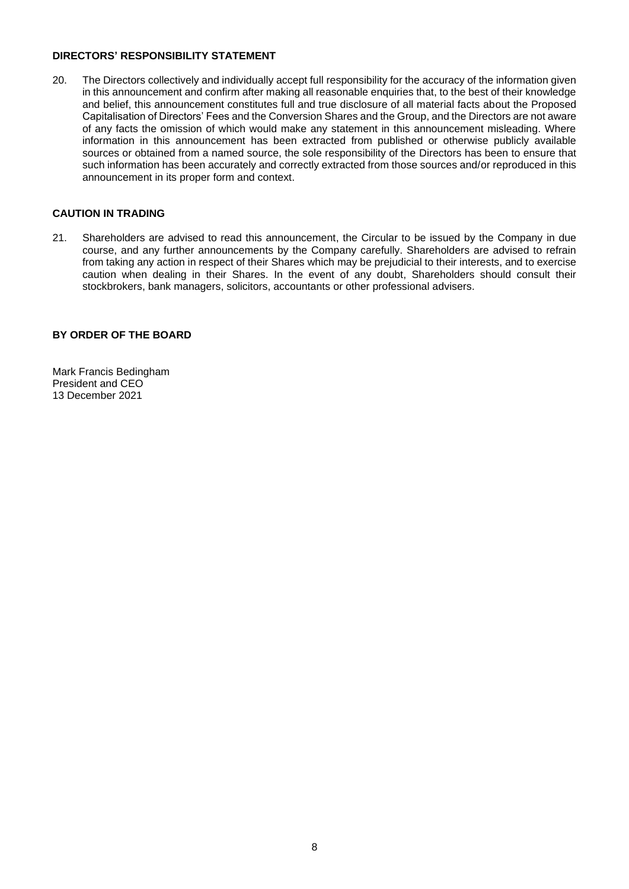#### **DIRECTORS' RESPONSIBILITY STATEMENT**

20. The Directors collectively and individually accept full responsibility for the accuracy of the information given in this announcement and confirm after making all reasonable enquiries that, to the best of their knowledge and belief, this announcement constitutes full and true disclosure of all material facts about the Proposed Capitalisation of Directors' Fees and the Conversion Shares and the Group, and the Directors are not aware of any facts the omission of which would make any statement in this announcement misleading. Where information in this announcement has been extracted from published or otherwise publicly available sources or obtained from a named source, the sole responsibility of the Directors has been to ensure that such information has been accurately and correctly extracted from those sources and/or reproduced in this announcement in its proper form and context.

## **CAUTION IN TRADING**

21. Shareholders are advised to read this announcement, the Circular to be issued by the Company in due course, and any further announcements by the Company carefully. Shareholders are advised to refrain from taking any action in respect of their Shares which may be prejudicial to their interests, and to exercise caution when dealing in their Shares. In the event of any doubt, Shareholders should consult their stockbrokers, bank managers, solicitors, accountants or other professional advisers.

## **BY ORDER OF THE BOARD**

Mark Francis Bedingham President and CEO 13 December 2021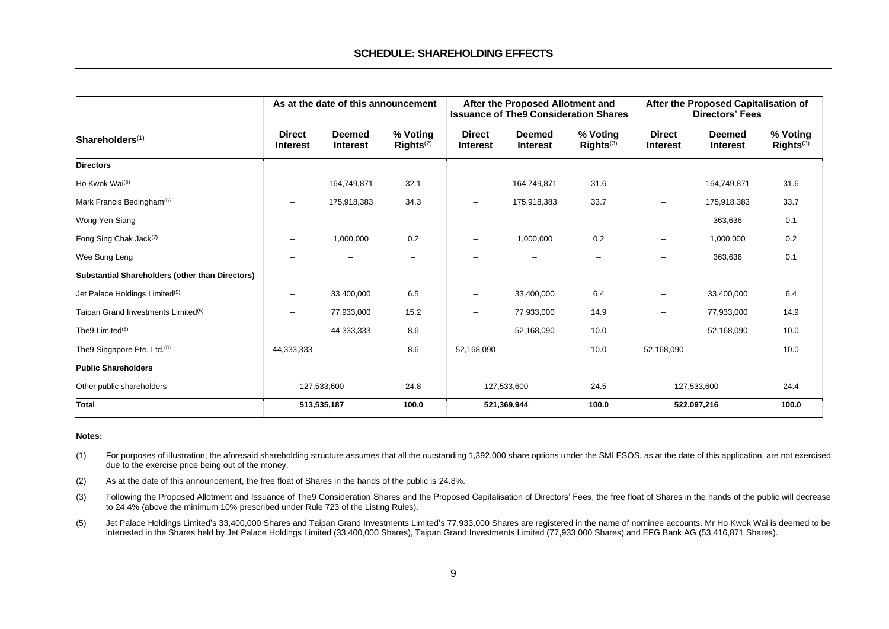#### **SCHEDULE: SHAREHOLDING EFFECTS**

|                                                        |                                  | As at the date of this announcement |                                   | After the Proposed Allotment and<br><b>Issuance of The9 Consideration Shares</b> |                                  |                                   | After the Proposed Capitalisation of<br><b>Directors' Fees</b> |                                  |                                   |
|--------------------------------------------------------|----------------------------------|-------------------------------------|-----------------------------------|----------------------------------------------------------------------------------|----------------------------------|-----------------------------------|----------------------------------------------------------------|----------------------------------|-----------------------------------|
| Shareholders <sup>(1)</sup>                            | <b>Direct</b><br><b>Interest</b> | <b>Deemed</b><br><b>Interest</b>    | % Voting<br>RightS <sup>(2)</sup> | <b>Direct</b><br><b>Interest</b>                                                 | <b>Deemed</b><br><b>Interest</b> | % Voting<br>RightS <sup>(3)</sup> | <b>Direct</b><br><b>Interest</b>                               | <b>Deemed</b><br><b>Interest</b> | % Voting<br>RightS <sup>(3)</sup> |
| <b>Directors</b>                                       |                                  |                                     |                                   |                                                                                  |                                  |                                   |                                                                |                                  |                                   |
| Ho Kwok Wai <sup>(5)</sup>                             | $\overline{\phantom{a}}$         | 164,749,871                         | 32.1                              | $\overline{\phantom{a}}$                                                         | 164,749,871                      | 31.6                              | $\qquad \qquad -$                                              | 164,749,871                      | 31.6                              |
| Mark Francis Bedingham <sup>(6)</sup>                  | $\qquad \qquad -$                | 175,918,383                         | 34.3                              | $\overline{\phantom{0}}$                                                         | 175,918,383                      | 33.7                              | $\qquad \qquad -$                                              | 175,918,383                      | 33.7                              |
| Wong Yen Siang                                         |                                  | $\overline{\phantom{0}}$            | $\overline{\phantom{0}}$          | $\overline{\phantom{0}}$                                                         |                                  | $\qquad \qquad -$                 | $\overline{\phantom{0}}$                                       | 363,636                          | 0.1                               |
| Fong Sing Chak Jack <sup>(7)</sup>                     | $\overline{\phantom{a}}$         | 1,000,000                           | 0.2                               | $\overline{\phantom{a}}$                                                         | 1,000,000                        | 0.2                               | $\qquad \qquad -$                                              | 1,000,000                        | 0.2                               |
| Wee Sung Leng                                          |                                  |                                     | $\overline{\phantom{0}}$          |                                                                                  |                                  | $\overline{\phantom{0}}$          |                                                                | 363,636                          | 0.1                               |
| <b>Substantial Shareholders (other than Directors)</b> |                                  |                                     |                                   |                                                                                  |                                  |                                   |                                                                |                                  |                                   |
| Jet Palace Holdings Limited <sup>(5)</sup>             | $\overline{\phantom{a}}$         | 33,400,000                          | 6.5                               | $\overline{\phantom{a}}$                                                         | 33,400,000                       | 6.4                               | $\qquad \qquad -$                                              | 33,400,000                       | 6.4                               |
| Taipan Grand Investments Limited <sup>(5)</sup>        | $\qquad \qquad -$                | 77,933,000                          | 15.2                              | $\qquad \qquad -$                                                                | 77,933,000                       | 14.9                              | $\qquad \qquad -$                                              | 77,933,000                       | 14.9                              |
| The9 Limited <sup>(8)</sup>                            | $\overline{\phantom{0}}$         | 44,333,333                          | 8.6                               | $\overline{\phantom{0}}$                                                         | 52,168,090                       | 10.0                              | $\overline{\phantom{0}}$                                       | 52,168,090                       | 10.0                              |
| The9 Singapore Pte. Ltd. <sup>(8)</sup>                | 44,333,333                       | $\overline{\phantom{m}}$            | 8.6                               | 52,168,090                                                                       |                                  | 10.0                              | 52,168,090                                                     |                                  | 10.0                              |
| <b>Public Shareholders</b>                             |                                  |                                     |                                   |                                                                                  |                                  |                                   |                                                                |                                  |                                   |
| Other public shareholders                              | 127,533,600                      |                                     | 24.8                              | 127,533,600                                                                      |                                  | 24.5                              | 24.4<br>127,533,600                                            |                                  |                                   |
| <b>Total</b>                                           | 513,535,187                      |                                     | 100.0                             |                                                                                  | 521,369,944                      | 100.0                             |                                                                | 522,097,216                      | 100.0                             |

#### **Notes:**

(1) For purposes of illustration, the aforesaid shareholding structure assumes that all the outstanding 1,392,000 share options under the SMI ESOS, as at the date of this application, are not exercised due to the exercise price being out of the money.

(2) As at **t**he date of this announcement, the free float of Shares in the hands of the public is 24.8%.

- (3) Following the Proposed Allotment and Issuance of The9 Consideration Shares and the Proposed Capitalisation of Directors' Fees, the free float of Shares in the hands of the public will decrease to 24.4% (above the minimum 10% prescribed under Rule 723 of the Listing Rules).
- (5) Jet Palace Holdings Limited's 33,400,000 Shares and Taipan Grand Investments Limited's 77,933,000 Shares are registered in the name of nominee accounts. Mr Ho Kwok Wai is deemed to be interested in the Shares held by Jet Palace Holdings Limited (33,400,000 Shares), Taipan Grand Investments Limited (77,933,000 Shares) and EFG Bank AG (53,416,871 Shares).